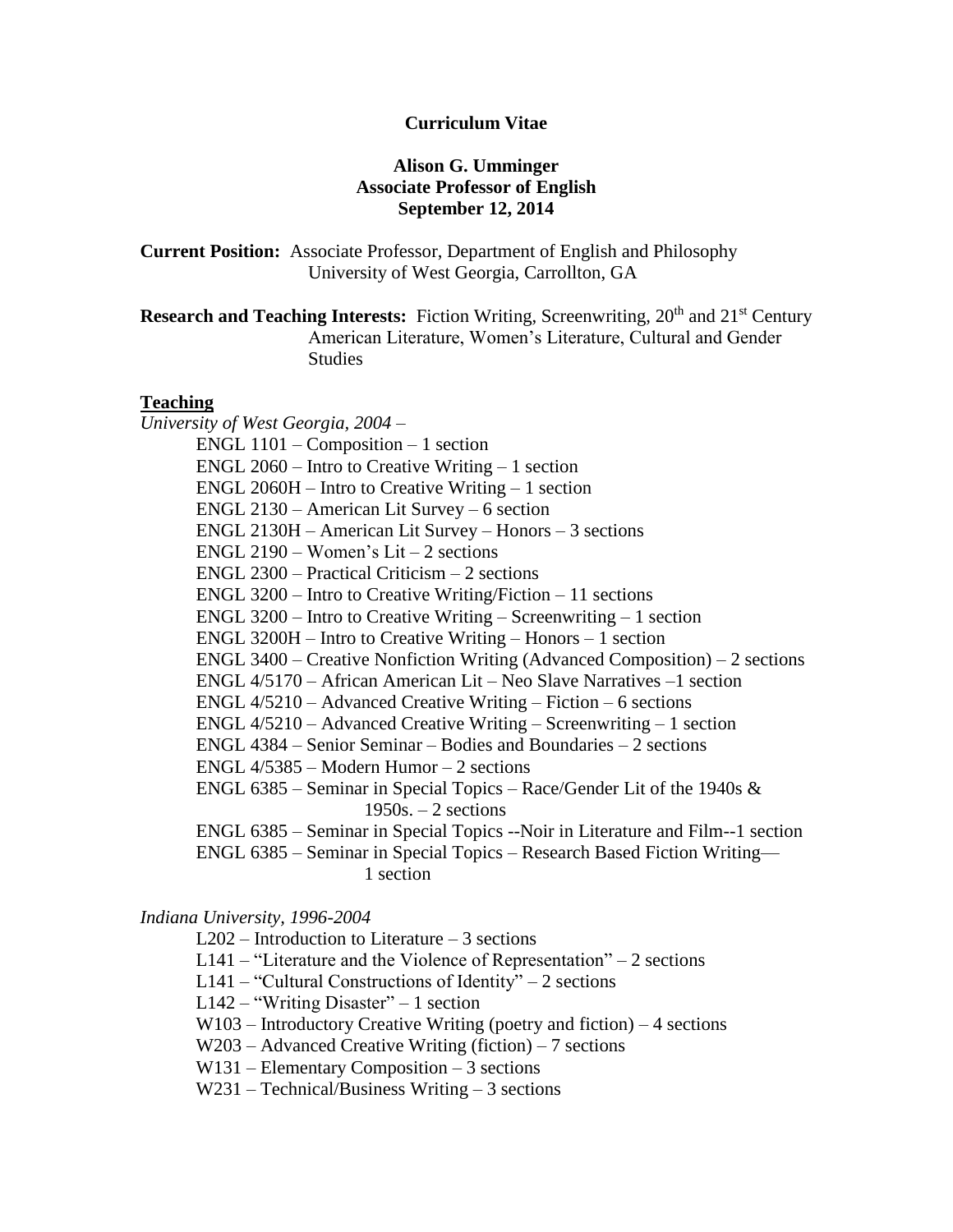## **Curriculum Vitae**

# **Alison G. Umminger Associate Professor of English September 12, 2014**

**Current Position:** Associate Professor, Department of English and Philosophy University of West Georgia, Carrollton, GA

**Research and Teaching Interests:** Fiction Writing, Screenwriting, 20<sup>th</sup> and 21<sup>st</sup> Century American Literature, Women's Literature, Cultural and Gender Studies

### **Teaching**

*University of West Georgia, 2004 –* ENGL 1101 – Composition – 1 section ENGL 2060 – Intro to Creative Writing – 1 section ENGL 2060H – Intro to Creative Writing – 1 section ENGL 2130 – American Lit Survey – 6 section ENGL 2130H – American Lit Survey – Honors – 3 sections ENGL 2190 – Women's Lit – 2 sections ENGL 2300 – Practical Criticism – 2 sections ENGL 3200 – Intro to Creative Writing/Fiction – 11 sections ENGL 3200 – Intro to Creative Writing – Screenwriting – 1 section ENGL 3200H – Intro to Creative Writing – Honors – 1 section ENGL 3400 – Creative Nonfiction Writing (Advanced Composition) – 2 sections ENGL 4/5170 – African American Lit – Neo Slave Narratives –1 section ENGL 4/5210 – Advanced Creative Writing – Fiction – 6 sections ENGL 4/5210 – Advanced Creative Writing – Screenwriting – 1 section ENGL 4384 – Senior Seminar – Bodies and Boundaries – 2 sections ENGL 4/5385 – Modern Humor – 2 sections ENGL 6385 – Seminar in Special Topics – Race/Gender Lit of the 1940s &  $1950s. - 2$  sections ENGL 6385 – Seminar in Special Topics --Noir in Literature and Film--1 section ENGL 6385 – Seminar in Special Topics – Research Based Fiction Writing— 1 section

*Indiana University, 1996-2004*

L202 – Introduction to Literature – 3 sections

L141 – "Literature and the Violence of Representation" – 2 sections

L141 – "Cultural Constructions of Identity" – 2 sections

L142 – "Writing Disaster" – 1 section

W103 – Introductory Creative Writing (poetry and fiction) – 4 sections

W203 – Advanced Creative Writing (fiction) – 7 sections

W131 – Elementary Composition – 3 sections

W231 – Technical/Business Writing – 3 sections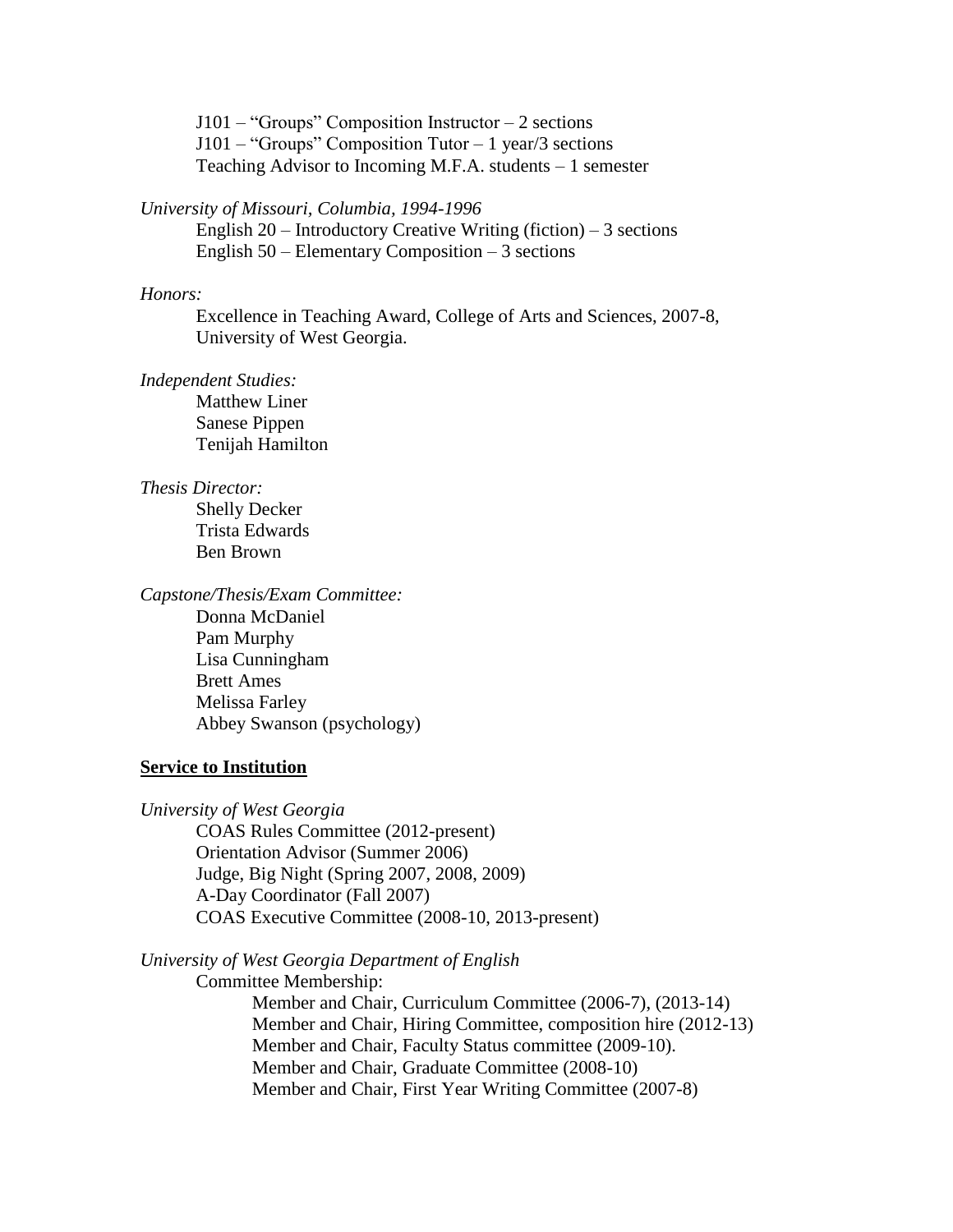$J101 -$  "Groups" Composition Instructor  $-2$  sections J101 – "Groups" Composition Tutor – 1 year/3 sections Teaching Advisor to Incoming M.F.A. students – 1 semester

#### *University of Missouri, Columbia, 1994-1996*

English  $20$  – Introductory Creative Writing (fiction) – 3 sections English 50 – Elementary Composition – 3 sections

#### *Honors:*

Excellence in Teaching Award, College of Arts and Sciences, 2007-8, University of West Georgia.

*Independent Studies:*

Matthew Liner Sanese Pippen Tenijah Hamilton

#### *Thesis Director:*

Shelly Decker Trista Edwards Ben Brown

*Capstone/Thesis/Exam Committee:*

Donna McDaniel Pam Murphy Lisa Cunningham Brett Ames Melissa Farley Abbey Swanson (psychology)

#### **Service to Institution**

*University of West Georgia*

COAS Rules Committee (2012-present) Orientation Advisor (Summer 2006) Judge, Big Night (Spring 2007, 2008, 2009) A-Day Coordinator (Fall 2007) COAS Executive Committee (2008-10, 2013-present)

*University of West Georgia Department of English*

Committee Membership:

Member and Chair, Curriculum Committee (2006-7), (2013-14) Member and Chair, Hiring Committee, composition hire (2012-13) Member and Chair, Faculty Status committee (2009-10). Member and Chair, Graduate Committee (2008-10) Member and Chair, First Year Writing Committee (2007-8)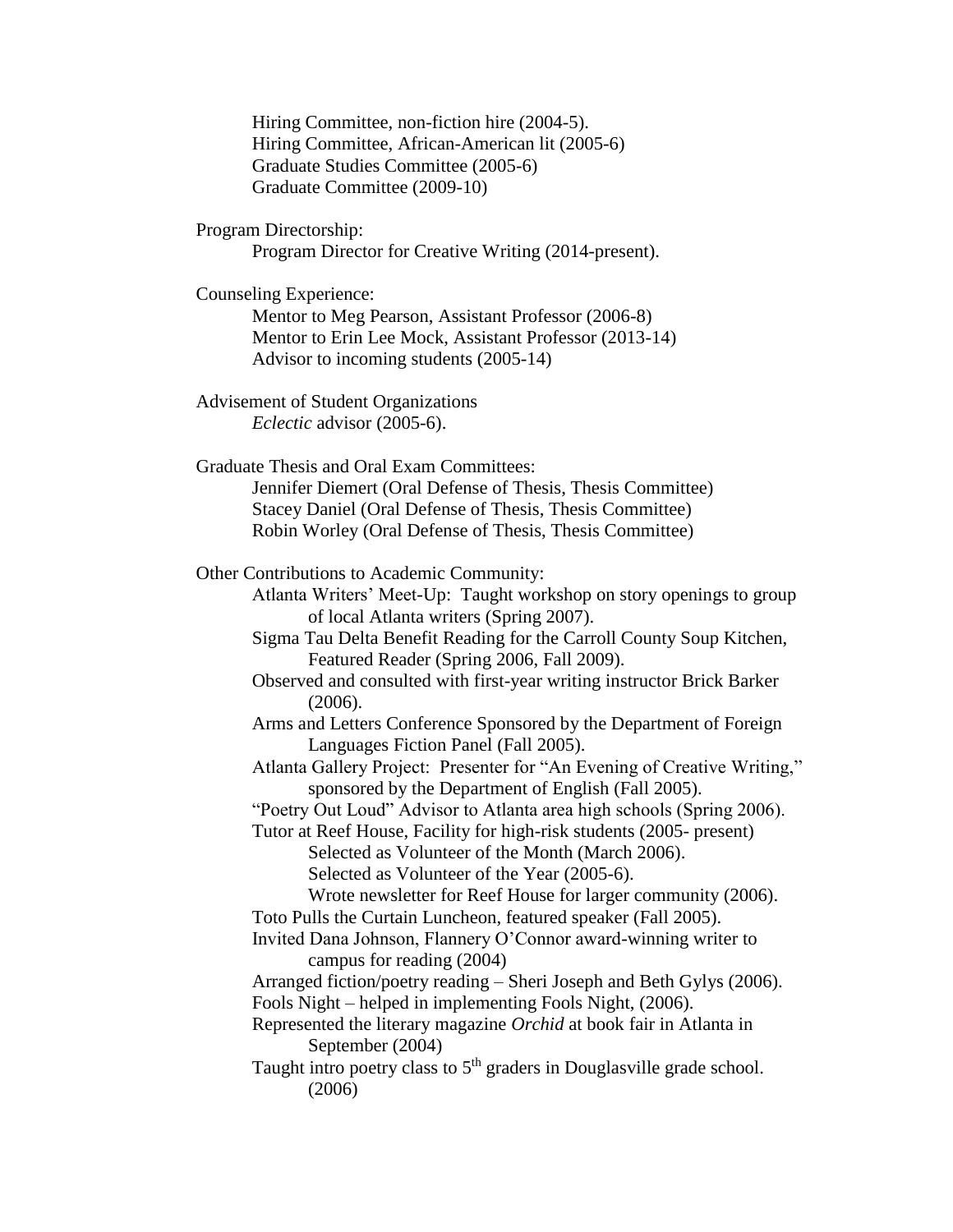Hiring Committee, non-fiction hire (2004-5). Hiring Committee, African-American lit (2005-6) Graduate Studies Committee (2005-6) Graduate Committee (2009-10)

Program Directorship:

Program Director for Creative Writing (2014-present).

Counseling Experience:

Mentor to Meg Pearson, Assistant Professor (2006-8) Mentor to Erin Lee Mock, Assistant Professor (2013-14) Advisor to incoming students (2005-14)

Advisement of Student Organizations *Eclectic* advisor (2005-6).

Graduate Thesis and Oral Exam Committees: Jennifer Diemert (Oral Defense of Thesis, Thesis Committee) Stacey Daniel (Oral Defense of Thesis, Thesis Committee) Robin Worley (Oral Defense of Thesis, Thesis Committee)

Other Contributions to Academic Community:

Atlanta Writers' Meet-Up: Taught workshop on story openings to group of local Atlanta writers (Spring 2007).

Sigma Tau Delta Benefit Reading for the Carroll County Soup Kitchen, Featured Reader (Spring 2006, Fall 2009).

Observed and consulted with first-year writing instructor Brick Barker (2006).

Arms and Letters Conference Sponsored by the Department of Foreign Languages Fiction Panel (Fall 2005).

Atlanta Gallery Project: Presenter for "An Evening of Creative Writing," sponsored by the Department of English (Fall 2005).

"Poetry Out Loud" Advisor to Atlanta area high schools (Spring 2006).

Tutor at Reef House, Facility for high-risk students (2005- present) Selected as Volunteer of the Month (March 2006). Selected as Volunteer of the Year (2005-6).

Wrote newsletter for Reef House for larger community (2006).

Toto Pulls the Curtain Luncheon, featured speaker (Fall 2005).

Invited Dana Johnson, Flannery O'Connor award-winning writer to campus for reading (2004)

Arranged fiction/poetry reading – Sheri Joseph and Beth Gylys (2006). Fools Night – helped in implementing Fools Night, (2006).

Represented the literary magazine *Orchid* at book fair in Atlanta in September (2004)

Taught intro poetry class to  $5<sup>th</sup>$  graders in Douglasville grade school. (2006)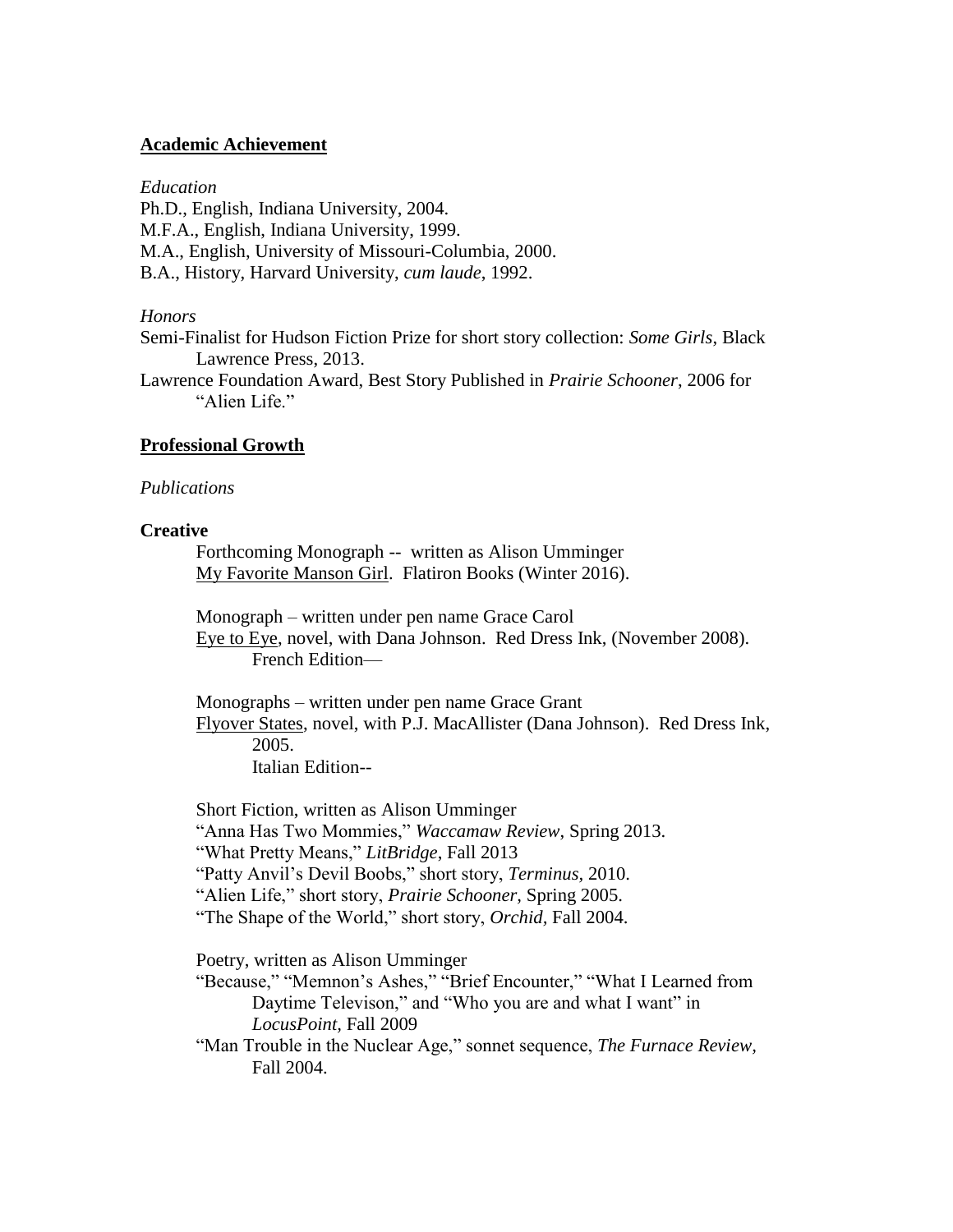### **Academic Achievement**

*Education* Ph.D., English, Indiana University, 2004.

M.F.A., English, Indiana University, 1999.

M.A., English, University of Missouri-Columbia, 2000.

B.A., History, Harvard University, *cum laude*, 1992.

### *Honors*

Semi-Finalist for Hudson Fiction Prize for short story collection: *Some Girls*, Black Lawrence Press, 2013.

Lawrence Foundation Award, Best Story Published in *Prairie Schooner*, 2006 for "Alien Life."

# **Professional Growth**

## *Publications*

## **Creative**

Forthcoming Monograph -- written as Alison Umminger My Favorite Manson Girl. Flatiron Books (Winter 2016).

Monograph – written under pen name Grace Carol Eye to Eye, novel, with Dana Johnson. Red Dress Ink, (November 2008). French Edition—

Monographs – written under pen name Grace Grant Flyover States, novel, with P.J. MacAllister (Dana Johnson). Red Dress Ink, 2005. Italian Edition--

Short Fiction, written as Alison Umminger "Anna Has Two Mommies," *Waccamaw Review*, Spring 2013. "What Pretty Means," *LitBridge*, Fall 2013 "Patty Anvil's Devil Boobs," short story, *Terminus,* 2010. "Alien Life," short story, *Prairie Schooner,* Spring 2005. "The Shape of the World," short story, *Orchid,* Fall 2004.

Poetry, written as Alison Umminger

"Because," "Memnon's Ashes," "Brief Encounter," "What I Learned from Daytime Televison," and "Who you are and what I want" in *LocusPoint,* Fall 2009

"Man Trouble in the Nuclear Age," sonnet sequence, *The Furnace Review,*  Fall 2004.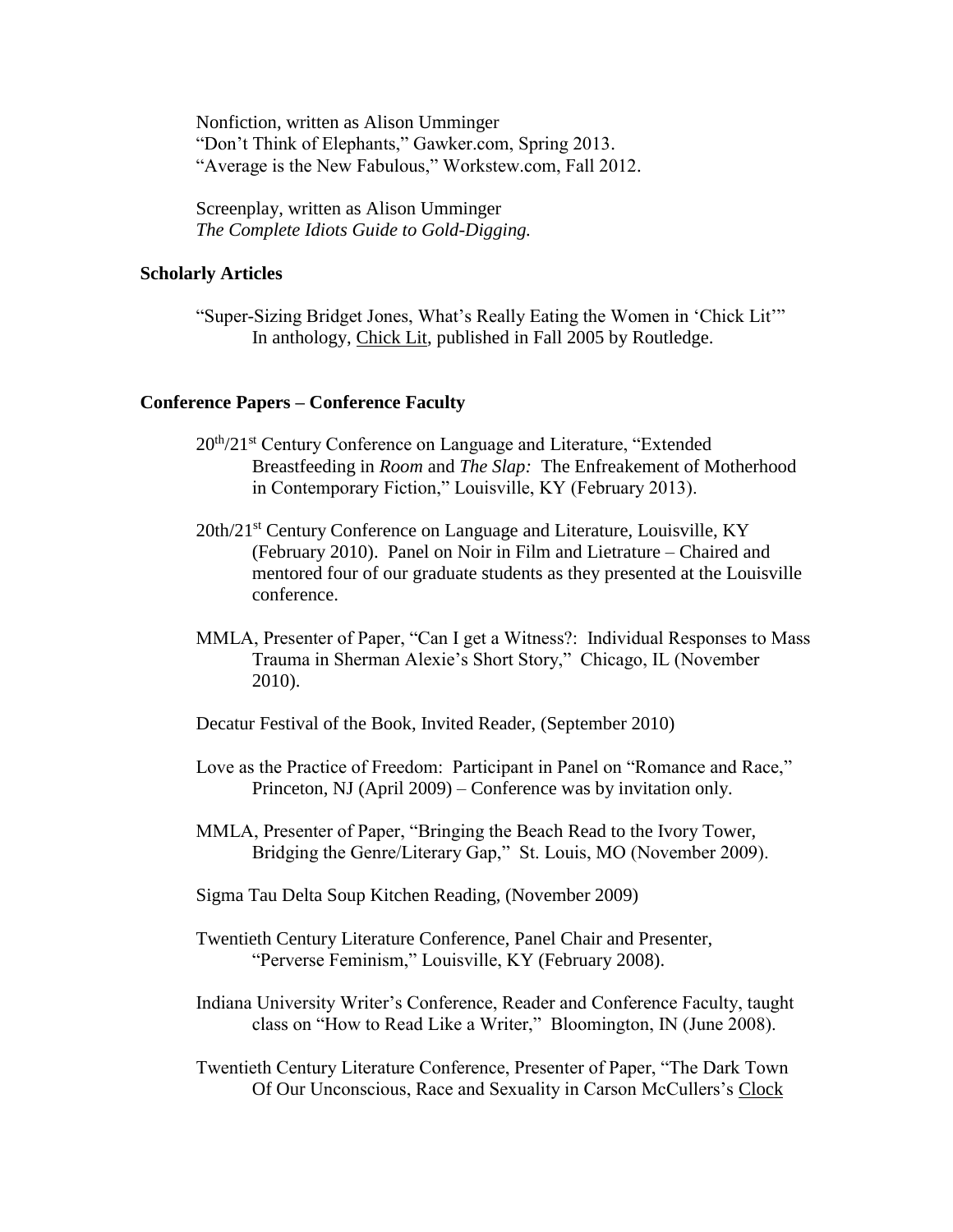Nonfiction, written as Alison Umminger "Don't Think of Elephants," Gawker.com, Spring 2013. "Average is the New Fabulous," Workstew.com, Fall 2012.

Screenplay, written as Alison Umminger *The Complete Idiots Guide to Gold-Digging.*

### **Scholarly Articles**

"Super-Sizing Bridget Jones, What's Really Eating the Women in 'Chick Lit'" In anthology, Chick Lit, published in Fall 2005 by Routledge.

#### **Conference Papers – Conference Faculty**

- 20<sup>th</sup>/21<sup>st</sup> Century Conference on Language and Literature, "Extended Breastfeeding in *Room* and *The Slap:* The Enfreakement of Motherhood in Contemporary Fiction," Louisville, KY (February 2013).
- 20th/21<sup>st</sup> Century Conference on Language and Literature, Louisville, KY (February 2010). Panel on Noir in Film and Lietrature – Chaired and mentored four of our graduate students as they presented at the Louisville conference.
- MMLA, Presenter of Paper, "Can I get a Witness?: Individual Responses to Mass Trauma in Sherman Alexie's Short Story," Chicago, IL (November 2010).

Decatur Festival of the Book, Invited Reader, (September 2010)

- Love as the Practice of Freedom: Participant in Panel on "Romance and Race," Princeton, NJ (April 2009) – Conference was by invitation only.
- MMLA, Presenter of Paper, "Bringing the Beach Read to the Ivory Tower, Bridging the Genre/Literary Gap," St. Louis, MO (November 2009).
- Sigma Tau Delta Soup Kitchen Reading, (November 2009)
- Twentieth Century Literature Conference, Panel Chair and Presenter, "Perverse Feminism," Louisville, KY (February 2008).
- Indiana University Writer's Conference, Reader and Conference Faculty, taught class on "How to Read Like a Writer," Bloomington, IN (June 2008).
- Twentieth Century Literature Conference, Presenter of Paper, "The Dark Town Of Our Unconscious, Race and Sexuality in Carson McCullers's Clock